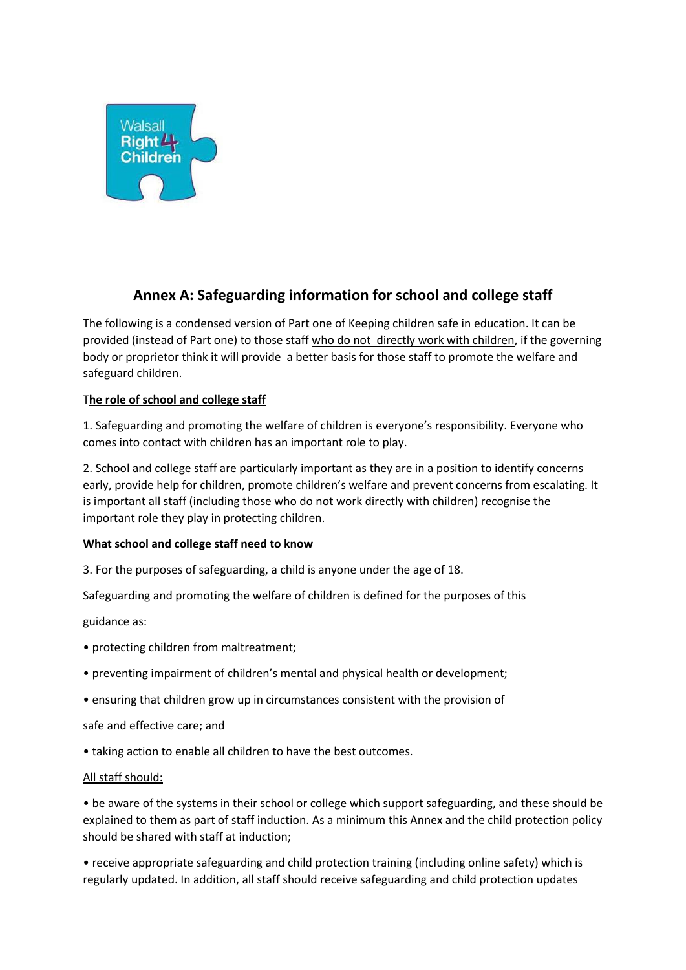

# **Annex A: Safeguarding information for school and college staff**

The following is a condensed version of Part one of Keeping children safe in education. It can be provided (instead of Part one) to those staff who do not directly work with children, if the governing body or proprietor think it will provide a better basis for those staff to promote the welfare and safeguard children.

## T**he role of school and college staff**

1. Safeguarding and promoting the welfare of children is everyone's responsibility. Everyone who comes into contact with children has an important role to play.

2. School and college staff are particularly important as they are in a position to identify concerns early, provide help for children, promote children's welfare and prevent concerns from escalating. It is important all staff (including those who do not work directly with children) recognise the important role they play in protecting children.

### **What school and college staff need to know**

3. For the purposes of safeguarding, a child is anyone under the age of 18.

Safeguarding and promoting the welfare of children is defined for the purposes of this

guidance as:

- protecting children from maltreatment;
- preventing impairment of children's mental and physical health or development;
- ensuring that children grow up in circumstances consistent with the provision of

### safe and effective care; and

• taking action to enable all children to have the best outcomes.

### All staff should:

• be aware of the systems in their school or college which support safeguarding, and these should be explained to them as part of staff induction. As a minimum this Annex and the child protection policy should be shared with staff at induction;

• receive appropriate safeguarding and child protection training (including online safety) which is regularly updated. In addition, all staff should receive safeguarding and child protection updates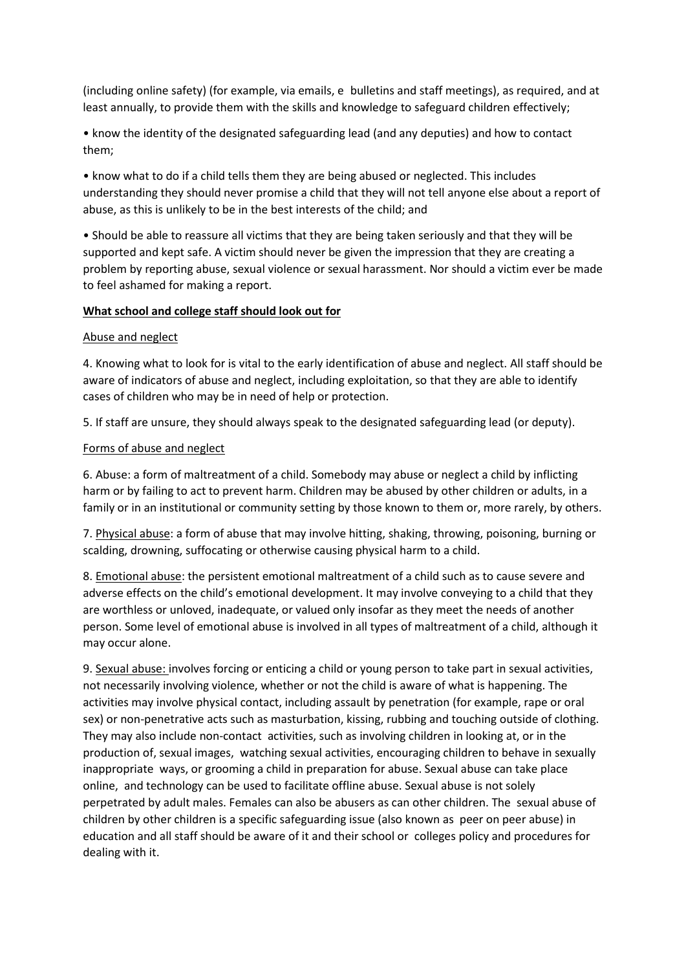(including online safety) (for example, via emails, e-bulletins and staff meetings), as required, and at least annually, to provide them with the skills and knowledge to safeguard children effectively;

• know the identity of the designated safeguarding lead (and any deputies) and how to contact them;

• know what to do if a child tells them they are being abused or neglected. This includes understanding they should never promise a child that they will not tell anyone else about a report of abuse, as this is unlikely to be in the best interests of the child; and

• Should be able to reassure all victims that they are being taken seriously and that they will be supported and kept safe. A victim should never be given the impression that they are creating a problem by reporting abuse, sexual violence or sexual harassment. Nor should a victim ever be made to feel ashamed for making a report.

#### **What school and college staff should look out for**

#### Abuse and neglect

4. Knowing what to look for is vital to the early identification of abuse and neglect. All staff should be aware of indicators of abuse and neglect, including exploitation, so that they are able to identify cases of children who may be in need of help or protection.

5. If staff are unsure, they should always speak to the designated safeguarding lead (or deputy).

#### Forms of abuse and neglect

6. Abuse: a form of maltreatment of a child. Somebody may abuse or neglect a child by inflicting harm or by failing to act to prevent harm. Children may be abused by other children or adults, in a family or in an institutional or community setting by those known to them or, more rarely, by others.

7. Physical abuse: a form of abuse that may involve hitting, shaking, throwing, poisoning, burning or scalding, drowning, suffocating or otherwise causing physical harm to a child.

8. Emotional abuse: the persistent emotional maltreatment of a child such as to cause severe and adverse effects on the child's emotional development. It may involve conveying to a child that they are worthless or unloved, inadequate, or valued only insofar as they meet the needs of another person. Some level of emotional abuse is involved in all types of maltreatment of a child, although it may occur alone.

9. Sexual abuse: involves forcing or enticing a child or young person to take part in sexual activities, not necessarily involving violence, whether or not the child is aware of what is happening. The activities may involve physical contact, including assault by penetration (for example, rape or oral sex) or non-penetrative acts such as masturbation, kissing, rubbing and touching outside of clothing. They may also include non-contact activities, such as involving children in looking at, or in the production of, sexual images, watching sexual activities, encouraging children to behave in sexually inappropriate ways, or grooming a child in preparation for abuse. Sexual abuse can take place online, and technology can be used to facilitate offline abuse. Sexual abuse is not solely perpetrated by adult males. Females can also be abusers as can other children. The sexual abuse of children by other children is a specific safeguarding issue (also known as peer on peer abuse) in education and all staff should be aware of it and their school or colleges policy and procedures for dealing with it.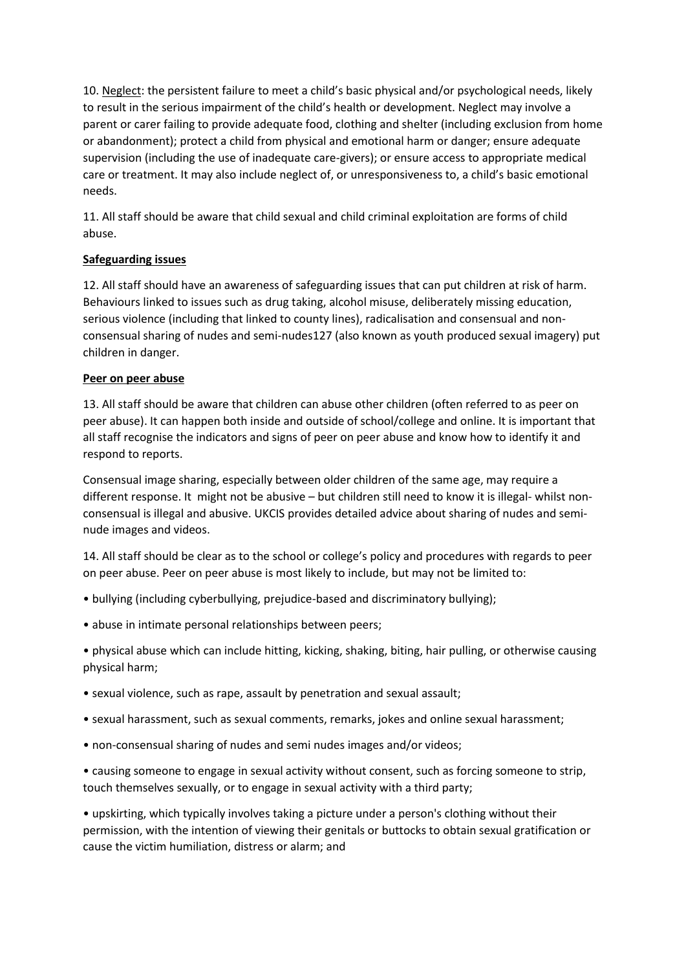10. Neglect: the persistent failure to meet a child's basic physical and/or psychological needs, likely to result in the serious impairment of the child's health or development. Neglect may involve a parent or carer failing to provide adequate food, clothing and shelter (including exclusion from home or abandonment); protect a child from physical and emotional harm or danger; ensure adequate supervision (including the use of inadequate care-givers); or ensure access to appropriate medical care or treatment. It may also include neglect of, or unresponsiveness to, a child's basic emotional needs.

11. All staff should be aware that child sexual and child criminal exploitation are forms of child abuse.

## **Safeguarding issues**

12. All staff should have an awareness of safeguarding issues that can put children at risk of harm. Behaviours linked to issues such as drug taking, alcohol misuse, deliberately missing education, serious violence (including that linked to county lines), radicalisation and consensual and nonconsensual sharing of nudes and semi-nudes127 (also known as youth produced sexual imagery) put children in danger.

## **Peer on peer abuse**

13. All staff should be aware that children can abuse other children (often referred to as peer on peer abuse). It can happen both inside and outside of school/college and online. It is important that all staff recognise the indicators and signs of peer on peer abuse and know how to identify it and respond to reports.

Consensual image sharing, especially between older children of the same age, may require a different response. It might not be abusive – but children still need to know it is illegal- whilst nonconsensual is illegal and abusive. UKCIS provides detailed advice about sharing of nudes and seminude images and videos.

14. All staff should be clear as to the school or college's policy and procedures with regards to peer on peer abuse. Peer on peer abuse is most likely to include, but may not be limited to:

- bullying (including cyberbullying, prejudice-based and discriminatory bullying);
- abuse in intimate personal relationships between peers;

• physical abuse which can include hitting, kicking, shaking, biting, hair pulling, or otherwise causing physical harm;

- sexual violence, such as rape, assault by penetration and sexual assault;
- sexual harassment, such as sexual comments, remarks, jokes and online sexual harassment;
- non-consensual sharing of nudes and semi nudes images and/or videos;

• causing someone to engage in sexual activity without consent, such as forcing someone to strip, touch themselves sexually, or to engage in sexual activity with a third party;

• upskirting, which typically involves taking a picture under a person's clothing without their permission, with the intention of viewing their genitals or buttocks to obtain sexual gratification or cause the victim humiliation, distress or alarm; and